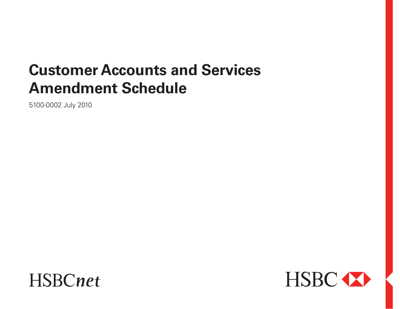# **Customer Accounts and Services Amendment Schedule**

5100-0002 July 2010



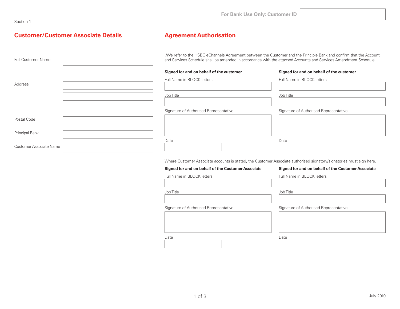Section 1

| <b>Agreement Authorisation</b>                                                                                       |                                                                                                                                                                                                                                         |  |  |  |
|----------------------------------------------------------------------------------------------------------------------|-----------------------------------------------------------------------------------------------------------------------------------------------------------------------------------------------------------------------------------------|--|--|--|
|                                                                                                                      | I/We refer to the HSBC eChannels Agreement between the Customer and the Principle Bank and confirm that the Account<br>and Services Schedule shall be amended in accordance with the attached Accounts and Services Amendment Schedule. |  |  |  |
| Signed for and on behalf of the customer                                                                             | Signed for and on behalf of the customer                                                                                                                                                                                                |  |  |  |
| Full Name in BLOCK letters                                                                                           | Full Name in BLOCK letters                                                                                                                                                                                                              |  |  |  |
| Job Title                                                                                                            | Job Title                                                                                                                                                                                                                               |  |  |  |
| Signature of Authorised Representative                                                                               | Signature of Authorised Representative                                                                                                                                                                                                  |  |  |  |
|                                                                                                                      |                                                                                                                                                                                                                                         |  |  |  |
|                                                                                                                      |                                                                                                                                                                                                                                         |  |  |  |
| Date                                                                                                                 | Date                                                                                                                                                                                                                                    |  |  |  |
| Where Customer Associate accounts is stated, the Customer Associate authorised signatory/signatories must sign here. |                                                                                                                                                                                                                                         |  |  |  |
| Signed for and on behalf of the Customer Associate                                                                   | Signed for and on behalf of the Customer Associate                                                                                                                                                                                      |  |  |  |
| Full Name in BLOCK letters                                                                                           | Full Name in BLOCK letters                                                                                                                                                                                                              |  |  |  |
| Job Title                                                                                                            | Job Title                                                                                                                                                                                                                               |  |  |  |
| Signature of Authorised Representative                                                                               | Signature of Authorised Representative                                                                                                                                                                                                  |  |  |  |
|                                                                                                                      |                                                                                                                                                                                                                                         |  |  |  |
| Date                                                                                                                 | Date                                                                                                                                                                                                                                    |  |  |  |
|                                                                                                                      |                                                                                                                                                                                                                                         |  |  |  |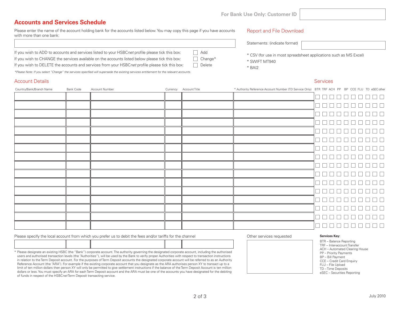# **Accounts and Services Schedule**

Please enter the name of the account holding bank for the accounts listed below. You may copy this page if you have accounts with more than one bank:

## Report and File Download

Statements: (indicate format)

If you wish to ADD to accounts and services listed to your HSBCnet profile please tick this box: Add If you wish to CHANGE the services available on the accounts listed below please tick this box:  $\Box$  Change\* If you wish to DELETE the accounts and services from your HSBC*net* profile please tick this box: Delete

*\*Please Note: If you select "Change" the services specified will supersede the existing services entitlement for the relevant accounts.*

# Account Details Services (Services of the Services of the Services of the Services of the Services of the Services

| Country/Bank/Branch Name | Bank Code | Account Number | Currency Account Title | * Authority Reference Account Number (TD Service Only) BTR TRF ACH PP BP CCE FLU TD eSEC other |                                                                                            |
|--------------------------|-----------|----------------|------------------------|------------------------------------------------------------------------------------------------|--------------------------------------------------------------------------------------------|
|                          |           |                |                        |                                                                                                | 00000000<br>$\Box$ $\Box$                                                                  |
|                          |           |                |                        |                                                                                                | $\Box$<br>$\Box$<br>$\Box$ $\Box$<br>⊏                                                     |
|                          |           |                |                        |                                                                                                | $\Box$<br>$\Box$<br>$\Box$<br>$\Box$ $\Box$<br>$\Box$<br>$\Box$<br>$\Box$<br>$\Box$        |
|                          |           |                |                        |                                                                                                | 0000000000                                                                                 |
|                          |           |                |                        |                                                                                                | 0000000<br>$\Box$<br>$\Box$ $\Box$                                                         |
|                          |           |                |                        |                                                                                                | 0000000<br>$\Box$ $\Box$<br>$\Box$                                                         |
|                          |           |                |                        |                                                                                                | $\Box\ \Box\ \Box\ \Box$<br>$\Box$ $\Box$<br>$\Box$<br>$\Box$<br>$\Box$<br>$\Box$          |
|                          |           |                |                        |                                                                                                | $\Box$<br>$\Box$<br>$\Box$<br>$\Box$ $\Box$<br>$\Box$                                      |
|                          |           |                |                        |                                                                                                | 00000000<br>$\Box$                                                                         |
|                          |           |                |                        |                                                                                                | 000000<br>$\Box$<br>$\Box$ $\Box$<br>$\Box$                                                |
|                          |           |                |                        |                                                                                                | 00000000<br>$\Box$ $\Box$                                                                  |
|                          |           |                |                        |                                                                                                | $\Box$ $\Box$<br>$\Box$<br>Г                                                               |
|                          |           |                |                        |                                                                                                | $\Box$<br>$\Box$<br>$\Box$ $\Box$<br>$\Box$<br>$\Box$<br>$\Box$<br>$\mathbf{1}$<br>$\perp$ |
|                          |           |                |                        |                                                                                                | 00000000<br>$\Box$                                                                         |
|                          |           |                |                        |                                                                                                | $\Box$<br>$\Box$<br>$\Box$ $\Box$<br>$\Box$                                                |
|                          |           |                |                        |                                                                                                |                                                                                            |

Please specify the local account from which you prefer us to debit the fees and/or tariffs for the channel

\* Please designate an existing HSBC (the "Bank") corporate account. The authority governing the designated corporate account, including the authorised users and authorised transaction levels (the "Authorities"), will be used by the Bank to verify proper Authorities with respect to transaction instructions in relation to the Term Deposit account. For the purposes of Term Deposit accounts the designated corporate account will be referred to as an Authority Reference Account (the "ARA"). For example if the existing corporate account that you designate as the ARA authorises person XY to transact up to a limit of ten million dollars then person XY will only be permitted to give settlement instructions if the balance of the Term Deposit Account is ten million dollars or less. You must specify an ARA for each Term Deposit account and the ARA must be one of the accounts you have designated for the debiting of funds in respect of the HSBC*net* Term Deposit transacting service.

## Other services requested **Services Key:**



BTR – Balance Reporting TRF – Inter-account Transfer ACH – Automated Clearing House PP – Priority Payments BP – Bill Payment CCE – Credit Card Enquiry FLU – File Upload TD – Time Deposits eSEC – Securities Reporting

\* CSV (for use in most spreadsheet applications such as MS Excel) \* SWIFT MT940

\* BAI2